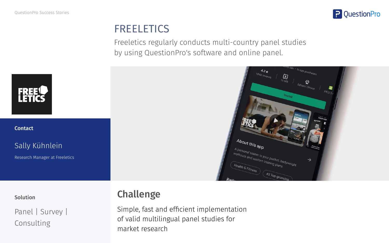

# **FREELETICS**

Freeletics regularly conducts multi-country panel studies by using QuestionPro's software and online panel.

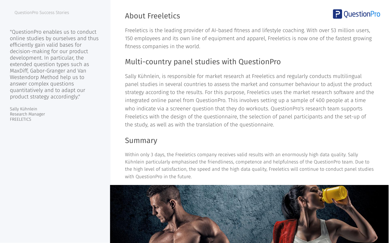"QuestionPro enables us to conduct online studies by ourselves and thus efficiently gain valid bases for decision-making for our product development. In particular, the extended question types such as MaxDiff, Gabor-Granger and Van Westendorp Method help us to answer complex questions quantitatively and to adapt our product strategy accordingly."

Sally Kühnlein Research Manager **FREELETICS** 

# About Freeletics

Freeletics is the leading provider of AI-based fitness and lifestyle coaching. With over 53 million users, 150 employees and its own line of equipment and apparel, Freeletics is now one of the fastest growing fitness companies in the world.

**P** QuestionPro

# Multi-country panel studies with QuestionPro

Sally Kühnlein, is responsible for market research at Freeletics and regularly conducts multilingual panel studies in several countries to assess the market and consumer behaviour to adjust the product strategy according to the results. For this purpose, Freeletics uses the market research software and the integrated online panel from QuestionPro. This involves setting up a sample of 400 people at a time who indicate via a screener question that they do workouts. QuestionPro's research team supports Freeletics with the design of the questionnaire, the selection of panel participants and the set-up of the study, as well as with the translation of the questionnaire.

## Summary

Within only 3 days, the Freeletics company receives valid results with an enormously high data quality. Sally Kühnlein particularly emphasised the friendliness, competence and helpfulness of the QuestionPro team. Due to the high level of satisfaction, the speed and the high data quality, Freeletics will continue to conduct panel studies with QuestionPro in the future.